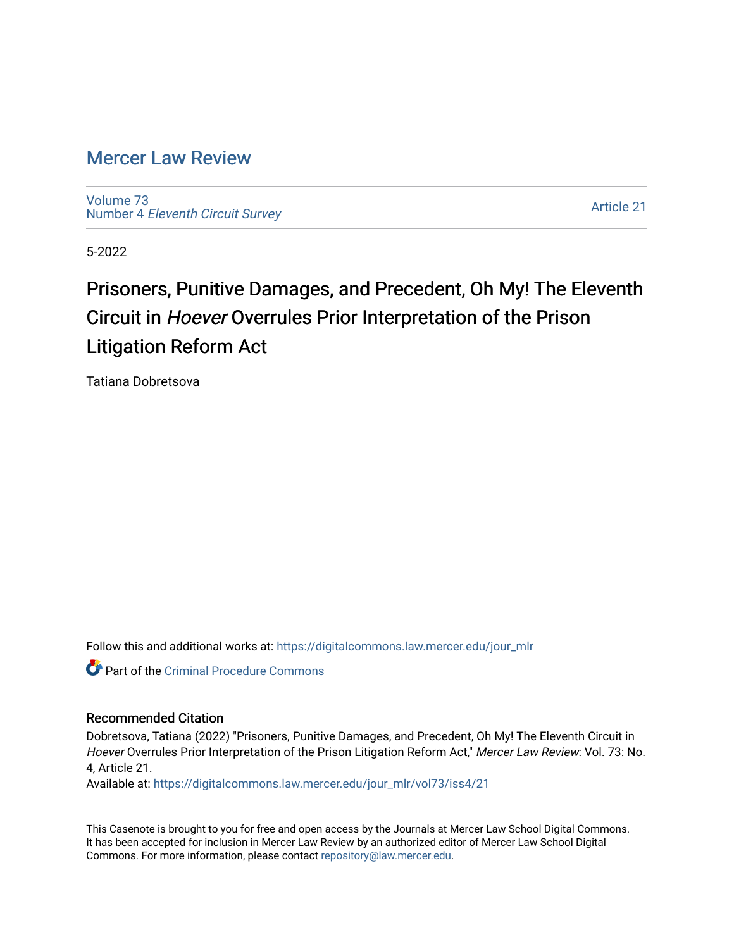# [Mercer Law Review](https://digitalcommons.law.mercer.edu/jour_mlr)

[Volume 73](https://digitalcommons.law.mercer.edu/jour_mlr/vol73) Number 4 [Eleventh Circuit Survey](https://digitalcommons.law.mercer.edu/jour_mlr/vol73/iss4) 

[Article 21](https://digitalcommons.law.mercer.edu/jour_mlr/vol73/iss4/21) 

5-2022

# Prisoners, Punitive Damages, and Precedent, Oh My! The Eleventh Circuit in Hoever Overrules Prior Interpretation of the Prison Litigation Reform Act

Tatiana Dobretsova

Follow this and additional works at: [https://digitalcommons.law.mercer.edu/jour\\_mlr](https://digitalcommons.law.mercer.edu/jour_mlr?utm_source=digitalcommons.law.mercer.edu%2Fjour_mlr%2Fvol73%2Fiss4%2F21&utm_medium=PDF&utm_campaign=PDFCoverPages)

**C** Part of the Criminal Procedure Commons

# Recommended Citation

Dobretsova, Tatiana (2022) "Prisoners, Punitive Damages, and Precedent, Oh My! The Eleventh Circuit in Hoever Overrules Prior Interpretation of the Prison Litigation Reform Act," Mercer Law Review: Vol. 73: No. 4, Article 21.

Available at: [https://digitalcommons.law.mercer.edu/jour\\_mlr/vol73/iss4/21](https://digitalcommons.law.mercer.edu/jour_mlr/vol73/iss4/21?utm_source=digitalcommons.law.mercer.edu%2Fjour_mlr%2Fvol73%2Fiss4%2F21&utm_medium=PDF&utm_campaign=PDFCoverPages) 

This Casenote is brought to you for free and open access by the Journals at Mercer Law School Digital Commons. It has been accepted for inclusion in Mercer Law Review by an authorized editor of Mercer Law School Digital Commons. For more information, please contact [repository@law.mercer.edu.](mailto:repository@law.mercer.edu)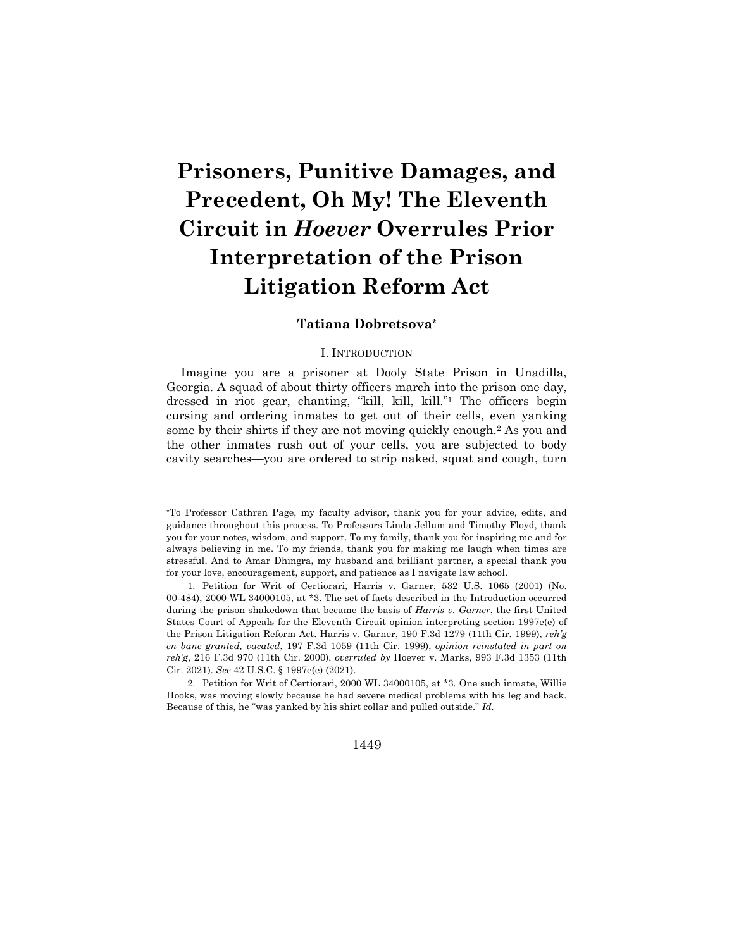# **Prisoners, Punitive Damages, and Precedent, Oh My! The Eleventh Circuit in** *Hoever* **Overrules Prior Interpretation of the Prison Litigation Reform Act**

# **Tatiana Dobretsova\***

# I. INTRODUCTION

Imagine you are a prisoner at Dooly State Prison in Unadilla, Georgia. A squad of about thirty officers march into the prison one day, dressed in riot gear, chanting, "kill, kill, kill."1 The officers begin cursing and ordering inmates to get out of their cells, even yanking some by their shirts if they are not moving quickly enough.2 As you and the other inmates rush out of your cells, you are subjected to body cavity searches—you are ordered to strip naked, squat and cough, turn

1449

<sup>\*</sup>To Professor Cathren Page, my faculty advisor, thank you for your advice, edits, and guidance throughout this process. To Professors Linda Jellum and Timothy Floyd, thank you for your notes, wisdom, and support. To my family, thank you for inspiring me and for always believing in me. To my friends, thank you for making me laugh when times are stressful. And to Amar Dhingra, my husband and brilliant partner, a special thank you for your love, encouragement, support, and patience as I navigate law school.

<sup>1.</sup> Petition for Writ of Certiorari, Harris v. Garner, 532 U.S. 1065 (2001) (No. 00-484), 2000 WL 34000105, at \*3. The set of facts described in the Introduction occurred during the prison shakedown that became the basis of *Harris v. Garner*, the first United States Court of Appeals for the Eleventh Circuit opinion interpreting section 1997e(e) of the Prison Litigation Reform Act. Harris v. Garner, 190 F.3d 1279 (11th Cir. 1999), *reh'g en banc granted, vacated*, 197 F.3d 1059 (11th Cir. 1999), *opinion reinstated in part on reh'g*, 216 F.3d 970 (11th Cir. 2000), *overruled by* Hoever v. Marks, 993 F.3d 1353 (11th Cir. 2021). *See* 42 U.S.C. § 1997e(e) (2021).

<sup>2.</sup> Petition for Writ of Certiorari, 2000 WL 34000105, at \*3*.* One such inmate, Willie Hooks, was moving slowly because he had severe medical problems with his leg and back. Because of this, he "was yanked by his shirt collar and pulled outside." *Id.*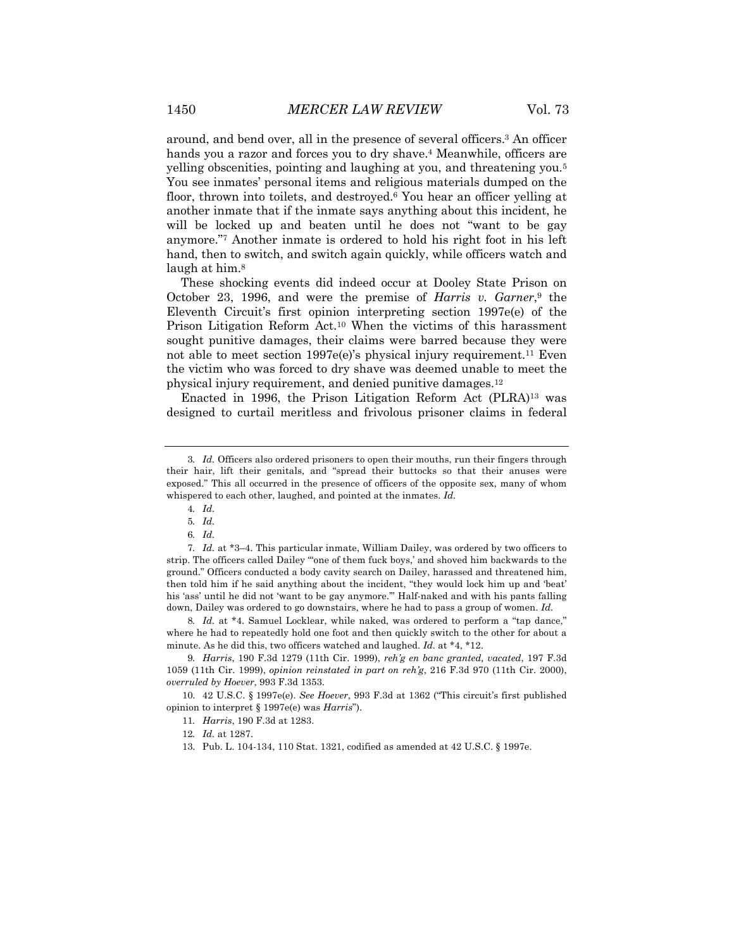around, and bend over, all in the presence of several officers.3 An officer hands you a razor and forces you to dry shave.<sup>4</sup> Meanwhile, officers are yelling obscenities, pointing and laughing at you, and threatening you.5 You see inmates' personal items and religious materials dumped on the floor, thrown into toilets, and destroyed.<sup>6</sup> You hear an officer yelling at another inmate that if the inmate says anything about this incident, he will be locked up and beaten until he does not "want to be gay anymore."7 Another inmate is ordered to hold his right foot in his left hand, then to switch, and switch again quickly, while officers watch and laugh at him.<sup>8</sup>

These shocking events did indeed occur at Dooley State Prison on October 23, 1996, and were the premise of *Harris v. Garner*,9 the Eleventh Circuit's first opinion interpreting section 1997e(e) of the Prison Litigation Reform Act.10 When the victims of this harassment sought punitive damages, their claims were barred because they were not able to meet section 1997e(e)'s physical injury requirement.<sup>11</sup> Even the victim who was forced to dry shave was deemed unable to meet the physical injury requirement, and denied punitive damages.12

Enacted in 1996, the Prison Litigation Reform Act (PLRA)13 was designed to curtail meritless and frivolous prisoner claims in federal

7*. Id.* at \*3–4. This particular inmate, William Dailey, was ordered by two officers to strip. The officers called Dailey "'one of them fuck boys,' and shoved him backwards to the ground." Officers conducted a body cavity search on Dailey, harassed and threatened him, then told him if he said anything about the incident, "they would lock him up and 'beat' his 'ass' until he did not 'want to be gay anymore.'" Half-naked and with his pants falling down, Dailey was ordered to go downstairs, where he had to pass a group of women. *Id.*

8*. Id.* at \*4. Samuel Locklear, while naked, was ordered to perform a "tap dance," where he had to repeatedly hold one foot and then quickly switch to the other for about a minute. As he did this, two officers watched and laughed. *Id.* at \*4, \*12.

9*. Harris*, 190 F.3d 1279 (11th Cir. 1999), *reh'g en banc granted, vacated*, 197 F.3d 1059 (11th Cir. 1999), *opinion reinstated in part on reh'g*, 216 F.3d 970 (11th Cir. 2000), *overruled by Hoever*, 993 F.3d 1353.

10. 42 U.S.C. § 1997e(e). *See Hoever*, 993 F.3d at 1362 ("This circuit's first published opinion to interpret § 1997e(e) was *Harris*").

<sup>3</sup>*. Id.* Officers also ordered prisoners to open their mouths, run their fingers through their hair, lift their genitals, and "spread their buttocks so that their anuses were exposed." This all occurred in the presence of officers of the opposite sex, many of whom whispered to each other, laughed, and pointed at the inmates. *Id.*

<sup>4</sup>*. Id.*

<sup>5</sup>*. Id.*

<sup>6</sup>*. Id.*

<sup>11</sup>*. Harris*, 190 F.3d at 1283.

<sup>12</sup>*. Id.* at 1287.

<sup>13.</sup> Pub. L. 104-134, 110 Stat. 1321, codified as amended at 42 U.S.C. § 1997e.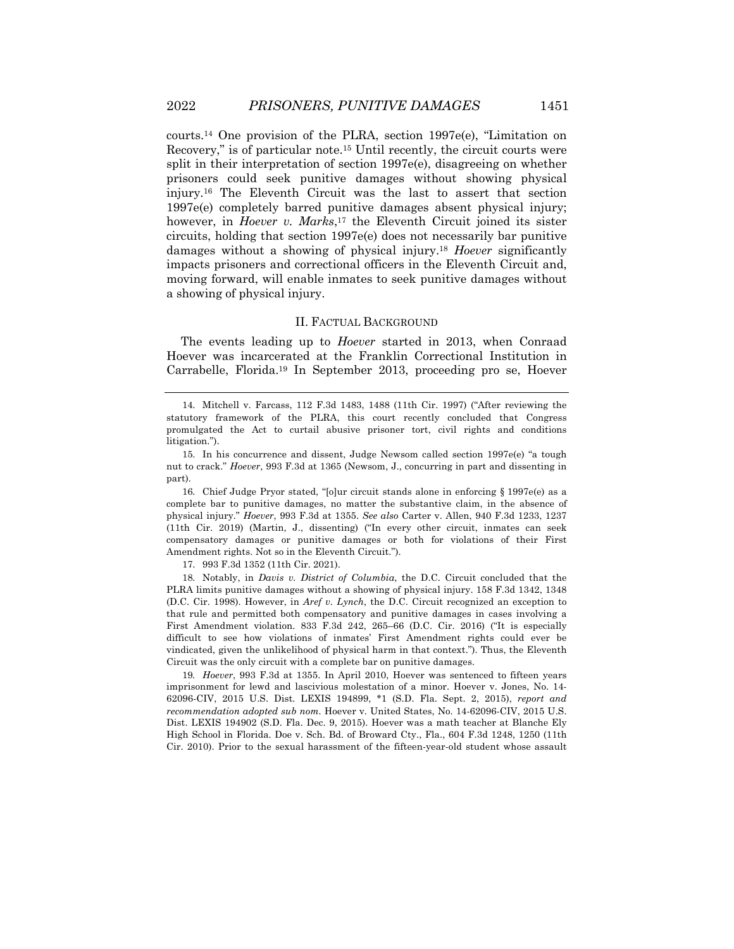courts.<sup>14</sup> One provision of the PLRA, section 1997e(e), "Limitation on Recovery," is of particular note.15 Until recently, the circuit courts were split in their interpretation of section 1997e(e), disagreeing on whether prisoners could seek punitive damages without showing physical injury.16 The Eleventh Circuit was the last to assert that section 1997e(e) completely barred punitive damages absent physical injury; however, in *Hoever v. Marks*,17 the Eleventh Circuit joined its sister circuits, holding that section 1997e(e) does not necessarily bar punitive damages without a showing of physical injury.18 *Hoever* significantly impacts prisoners and correctional officers in the Eleventh Circuit and, moving forward, will enable inmates to seek punitive damages without a showing of physical injury.

### II. FACTUAL BACKGROUND

The events leading up to *Hoever* started in 2013, when Conraad Hoever was incarcerated at the Franklin Correctional Institution in Carrabelle, Florida.19 In September 2013, proceeding pro se, Hoever

16. Chief Judge Pryor stated, "[o]ur circuit stands alone in enforcing § 1997e(e) as a complete bar to punitive damages, no matter the substantive claim, in the absence of physical injury." *Hoever*, 993 F.3d at 1355. *See also* Carter v. Allen, 940 F.3d 1233, 1237 (11th Cir. 2019) (Martin, J., dissenting) ("In every other circuit, inmates can seek compensatory damages or punitive damages or both for violations of their First Amendment rights. Not so in the Eleventh Circuit.").

17. 993 F.3d 1352 (11th Cir. 2021).

18. Notably, in *Davis v. District of Columbia*, the D.C. Circuit concluded that the PLRA limits punitive damages without a showing of physical injury. 158 F.3d 1342, 1348 (D.C. Cir. 1998). However, in *Aref v. Lynch*, the D.C. Circuit recognized an exception to that rule and permitted both compensatory and punitive damages in cases involving a First Amendment violation. 833 F.3d 242, 265–66 (D.C. Cir. 2016) ("It is especially difficult to see how violations of inmates' First Amendment rights could ever be vindicated, given the unlikelihood of physical harm in that context."). Thus, the Eleventh Circuit was the only circuit with a complete bar on punitive damages.

19*. Hoever*, 993 F.3d at 1355. In April 2010, Hoever was sentenced to fifteen years imprisonment for lewd and lascivious molestation of a minor. Hoever v. Jones, No. 14- 62096-CIV, 2015 U.S. Dist. LEXIS 194899, \*1 (S.D. Fla. Sept. 2, 2015), *report and recommendation adopted sub nom.* Hoever v. United States, No. 14-62096-CIV, 2015 U.S. Dist. LEXIS 194902 (S.D. Fla. Dec. 9, 2015). Hoever was a math teacher at Blanche Ely High School in Florida. Doe v. Sch. Bd. of Broward Cty., Fla., 604 F.3d 1248, 1250 (11th Cir. 2010). Prior to the sexual harassment of the fifteen-year-old student whose assault

<sup>14.</sup> Mitchell v. Farcass, 112 F.3d 1483, 1488 (11th Cir. 1997) ("After reviewing the statutory framework of the PLRA, this court recently concluded that Congress promulgated the Act to curtail abusive prisoner tort, civil rights and conditions litigation.").

<sup>15.</sup> In his concurrence and dissent, Judge Newsom called section 1997e(e) "a tough nut to crack." *Hoever*, 993 F.3d at 1365 (Newsom, J., concurring in part and dissenting in part).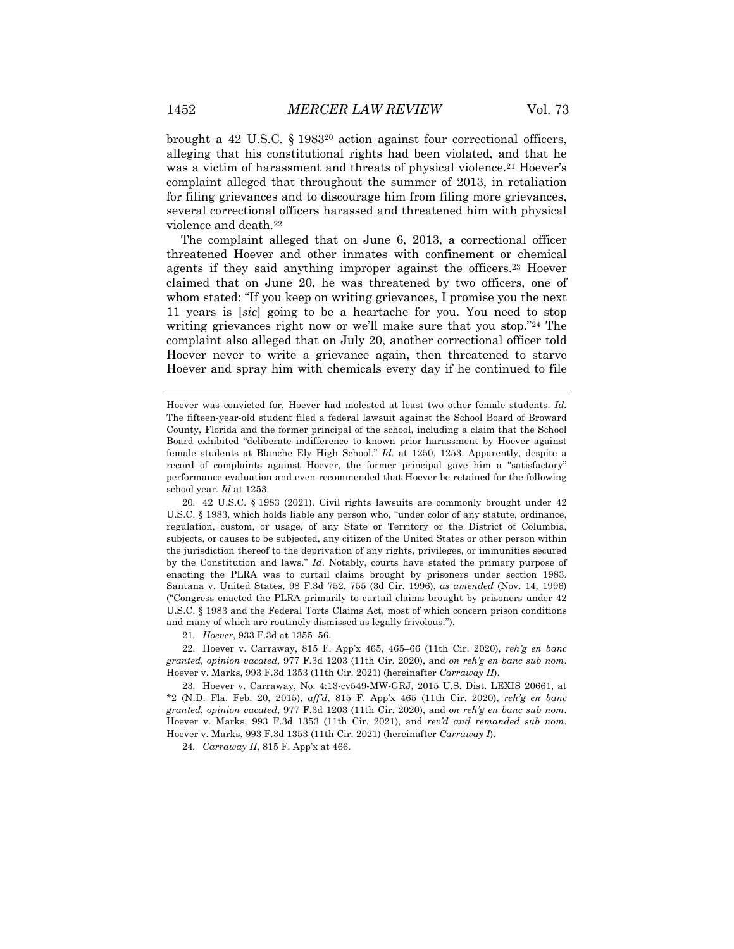brought a 42 U.S.C.  $\S$  1983<sup>20</sup> action against four correctional officers, alleging that his constitutional rights had been violated, and that he was a victim of harassment and threats of physical violence.<sup>21</sup> Hoever's complaint alleged that throughout the summer of 2013, in retaliation for filing grievances and to discourage him from filing more grievances, several correctional officers harassed and threatened him with physical violence and death.22

The complaint alleged that on June 6, 2013, a correctional officer threatened Hoever and other inmates with confinement or chemical agents if they said anything improper against the officers.23 Hoever claimed that on June 20, he was threatened by two officers, one of whom stated: "If you keep on writing grievances, I promise you the next 11 years is [*sic*] going to be a heartache for you. You need to stop writing grievances right now or we'll make sure that you stop."24 The complaint also alleged that on July 20, another correctional officer told Hoever never to write a grievance again, then threatened to starve Hoever and spray him with chemicals every day if he continued to file

21*. Hoever*, 933 F.3d at 1355–56.

22. Hoever v. Carraway, 815 F. App'x 465, 465–66 (11th Cir. 2020), *reh'g en banc granted, opinion vacated*, 977 F.3d 1203 (11th Cir. 2020), and *on reh'g en banc sub nom*. Hoever v. Marks, 993 F.3d 1353 (11th Cir. 2021) (hereinafter *Carraway II*).

23. Hoever v. Carraway, No. 4:13-cv549-MW-GRJ, 2015 U.S. Dist. LEXIS 20661, at \*2 (N.D. Fla. Feb. 20, 2015), *aff'd*, 815 F. App'x 465 (11th Cir. 2020), *reh'g en banc granted, opinion vacated*, 977 F.3d 1203 (11th Cir. 2020), and *on reh'g en banc sub nom*. Hoever v. Marks, 993 F.3d 1353 (11th Cir. 2021), and *rev'd and remanded sub nom*. Hoever v. Marks, 993 F.3d 1353 (11th Cir. 2021) (hereinafter *Carraway I*).

24*. Carraway II*, 815 F. App'x at 466.

Hoever was convicted for, Hoever had molested at least two other female students. *Id.* The fifteen-year-old student filed a federal lawsuit against the School Board of Broward County, Florida and the former principal of the school, including a claim that the School Board exhibited "deliberate indifference to known prior harassment by Hoever against female students at Blanche Ely High School." *Id.* at 1250, 1253. Apparently, despite a record of complaints against Hoever, the former principal gave him a "satisfactory" performance evaluation and even recommended that Hoever be retained for the following school year. *Id* at 1253.

<sup>20.</sup> 42 U.S.C. § 1983 (2021). Civil rights lawsuits are commonly brought under 42 U.S.C. § 1983, which holds liable any person who, "under color of any statute, ordinance, regulation, custom, or usage, of any State or Territory or the District of Columbia, subjects, or causes to be subjected, any citizen of the United States or other person within the jurisdiction thereof to the deprivation of any rights, privileges, or immunities secured by the Constitution and laws." *Id*. Notably, courts have stated the primary purpose of enacting the PLRA was to curtail claims brought by prisoners under section 1983. Santana v. United States, 98 F.3d 752, 755 (3d Cir. 1996), *as amended* (Nov. 14, 1996) ("Congress enacted the PLRA primarily to curtail claims brought by prisoners under 42 U.S.C. § 1983 and the Federal Torts Claims Act, most of which concern prison conditions and many of which are routinely dismissed as legally frivolous.").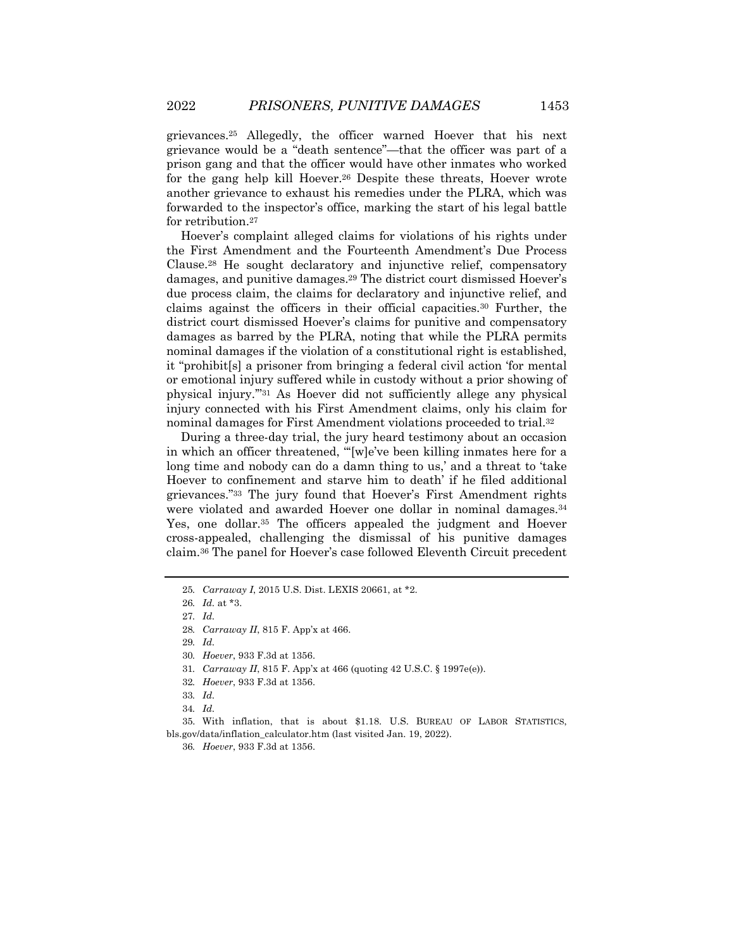grievances.25 Allegedly, the officer warned Hoever that his next grievance would be a "death sentence"—that the officer was part of a prison gang and that the officer would have other inmates who worked for the gang help kill Hoever.26 Despite these threats, Hoever wrote another grievance to exhaust his remedies under the PLRA, which was forwarded to the inspector's office, marking the start of his legal battle for retribution.27

Hoever's complaint alleged claims for violations of his rights under the First Amendment and the Fourteenth Amendment's Due Process Clause.28 He sought declaratory and injunctive relief, compensatory damages, and punitive damages.29 The district court dismissed Hoever's due process claim, the claims for declaratory and injunctive relief, and claims against the officers in their official capacities.30 Further, the district court dismissed Hoever's claims for punitive and compensatory damages as barred by the PLRA, noting that while the PLRA permits nominal damages if the violation of a constitutional right is established, it "prohibit[s] a prisoner from bringing a federal civil action 'for mental or emotional injury suffered while in custody without a prior showing of physical injury.'"31 As Hoever did not sufficiently allege any physical injury connected with his First Amendment claims, only his claim for nominal damages for First Amendment violations proceeded to trial.32

During a three-day trial, the jury heard testimony about an occasion in which an officer threatened, "'[w]e've been killing inmates here for a long time and nobody can do a damn thing to us,' and a threat to 'take Hoever to confinement and starve him to death' if he filed additional grievances."33 The jury found that Hoever's First Amendment rights were violated and awarded Hoever one dollar in nominal damages.34 Yes, one dollar.35 The officers appealed the judgment and Hoever cross-appealed, challenging the dismissal of his punitive damages claim.36 The panel for Hoever's case followed Eleventh Circuit precedent

<sup>25</sup>*. Carraway I*, 2015 U.S. Dist. LEXIS 20661, at \*2.

<sup>26</sup>*. Id.* at \*3.

<sup>27</sup>*. Id.*

<sup>28</sup>*. Carraway II*, 815 F. App'x at 466.

<sup>29</sup>*. Id.*

<sup>30</sup>*. Hoever*, 933 F.3d at 1356.

<sup>31</sup>*. Carraway II*, 815 F. App'x at 466 (quoting 42 U.S.C. § 1997e(e)).

<sup>32</sup>*. Hoever*, 933 F.3d at 1356.

<sup>33</sup>*. Id.*

<sup>34</sup>*. Id.*

<sup>35.</sup> With inflation, that is about \$1.18. U.S. BUREAU OF LABOR STATISTICS, bls.gov/data/inflation\_calculator.htm (last visited Jan. 19, 2022).

<sup>36</sup>*. Hoever*, 933 F.3d at 1356.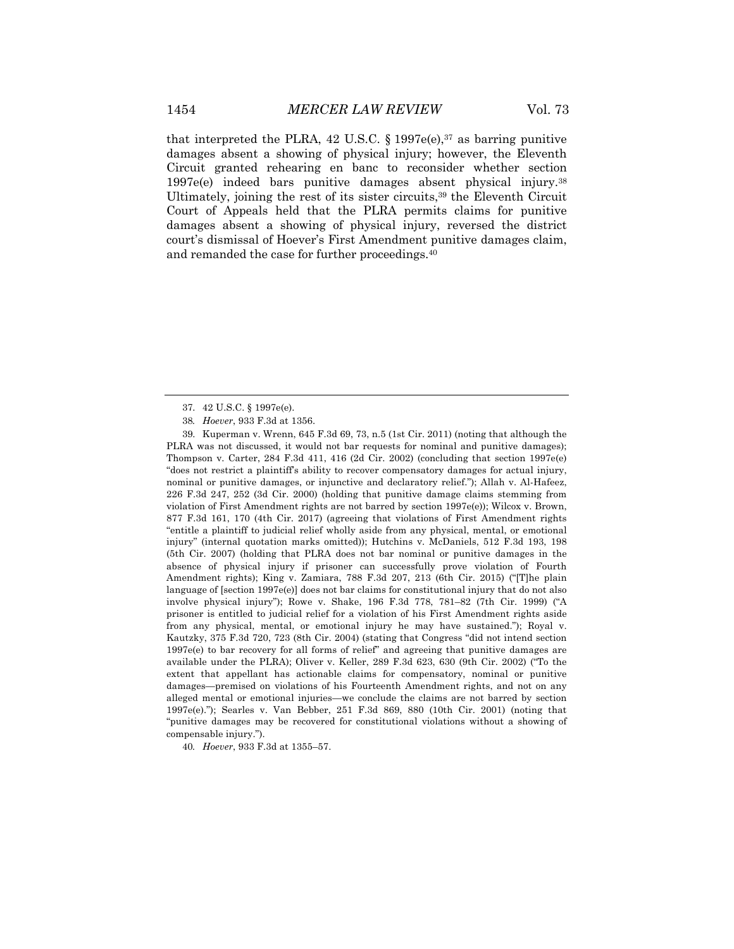that interpreted the PLRA, 42 U.S.C.  $\S 1997e(e),$ <sup>37</sup> as barring punitive damages absent a showing of physical injury; however, the Eleventh Circuit granted rehearing en banc to reconsider whether section 1997e(e) indeed bars punitive damages absent physical injury.38 Ultimately, joining the rest of its sister circuits,39 the Eleventh Circuit Court of Appeals held that the PLRA permits claims for punitive damages absent a showing of physical injury, reversed the district court's dismissal of Hoever's First Amendment punitive damages claim, and remanded the case for further proceedings.40

40*. Hoever*, 933 F.3d at 1355–57.

<sup>37.</sup> 42 U.S.C. § 1997e(e).

<sup>38</sup>*. Hoever*, 933 F.3d at 1356.

<sup>39.</sup> Kuperman v. Wrenn, 645 F.3d 69, 73, n.5 (1st Cir. 2011) (noting that although the PLRA was not discussed, it would not bar requests for nominal and punitive damages); Thompson v. Carter,  $284$  F.3d 411, 416 (2d Cir. 2002) (concluding that section 1997e(e) "does not restrict a plaintiff's ability to recover compensatory damages for actual injury, nominal or punitive damages, or injunctive and declaratory relief."); Allah v. Al-Hafeez, 226 F.3d 247, 252 (3d Cir. 2000) (holding that punitive damage claims stemming from violation of First Amendment rights are not barred by section 1997e(e)); Wilcox v. Brown, 877 F.3d 161, 170 (4th Cir. 2017) (agreeing that violations of First Amendment rights "entitle a plaintiff to judicial relief wholly aside from any physical, mental, or emotional injury" (internal quotation marks omitted)); Hutchins v. McDaniels, 512 F.3d 193, 198 (5th Cir. 2007) (holding that PLRA does not bar nominal or punitive damages in the absence of physical injury if prisoner can successfully prove violation of Fourth Amendment rights); King v. Zamiara, 788 F.3d 207, 213 (6th Cir. 2015) ("[T]he plain language of [section 1997e(e)] does not bar claims for constitutional injury that do not also involve physical injury"); Rowe v. Shake, 196 F.3d 778, 781–82 (7th Cir. 1999) ("A prisoner is entitled to judicial relief for a violation of his First Amendment rights aside from any physical, mental, or emotional injury he may have sustained."); Royal v. Kautzky, 375 F.3d 720, 723 (8th Cir. 2004) (stating that Congress "did not intend section 1997e(e) to bar recovery for all forms of relief" and agreeing that punitive damages are available under the PLRA); Oliver v. Keller, 289 F.3d 623, 630 (9th Cir. 2002) ("To the extent that appellant has actionable claims for compensatory, nominal or punitive damages—premised on violations of his Fourteenth Amendment rights, and not on any alleged mental or emotional injuries—we conclude the claims are not barred by section 1997e(e)."); Searles v. Van Bebber, 251 F.3d 869, 880 (10th Cir. 2001) (noting that "punitive damages may be recovered for constitutional violations without a showing of compensable injury.").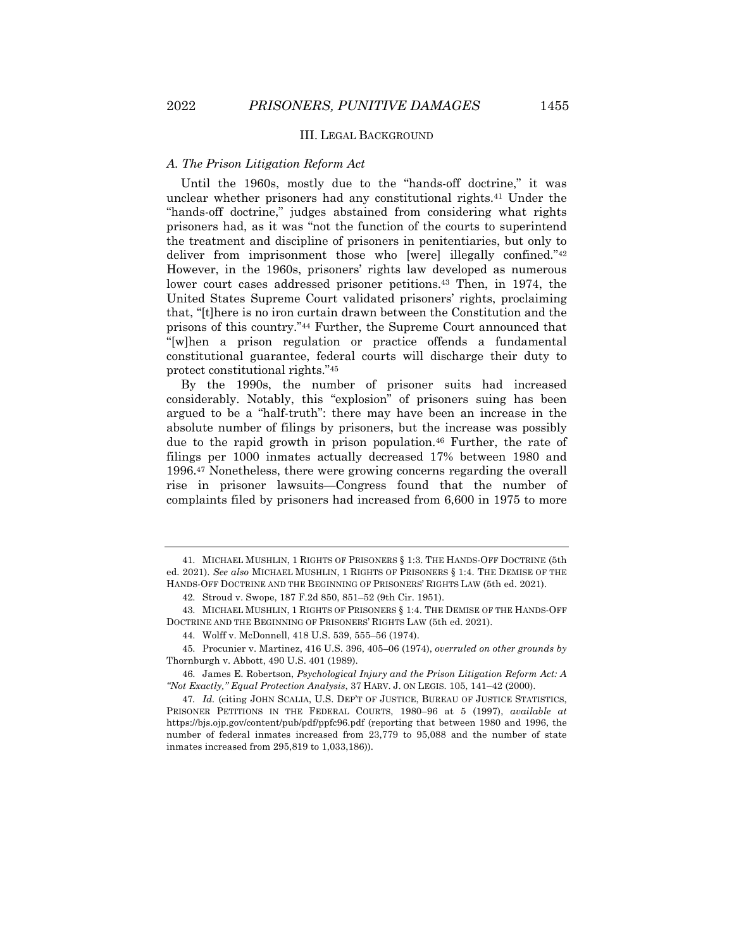#### III. LEGAL BACKGROUND

#### *A. The Prison Litigation Reform Act*

Until the 1960s, mostly due to the "hands-off doctrine," it was unclear whether prisoners had any constitutional rights.41 Under the "hands-off doctrine," judges abstained from considering what rights prisoners had, as it was "not the function of the courts to superintend the treatment and discipline of prisoners in penitentiaries, but only to deliver from imprisonment those who [were] illegally confined."42 However, in the 1960s, prisoners' rights law developed as numerous lower court cases addressed prisoner petitions.<sup>43</sup> Then, in 1974, the United States Supreme Court validated prisoners' rights, proclaiming that, "[t]here is no iron curtain drawn between the Constitution and the prisons of this country."44 Further, the Supreme Court announced that "[w]hen a prison regulation or practice offends a fundamental constitutional guarantee, federal courts will discharge their duty to protect constitutional rights."45

By the 1990s, the number of prisoner suits had increased considerably. Notably, this "explosion" of prisoners suing has been argued to be a "half-truth": there may have been an increase in the absolute number of filings by prisoners, but the increase was possibly due to the rapid growth in prison population.<sup>46</sup> Further, the rate of filings per 1000 inmates actually decreased 17% between 1980 and 1996.47 Nonetheless, there were growing concerns regarding the overall rise in prisoner lawsuits—Congress found that the number of complaints filed by prisoners had increased from 6,600 in 1975 to more

<sup>41.</sup> MICHAEL MUSHLIN, 1 RIGHTS OF PRISONERS § 1:3. THE HANDS-OFF DOCTRINE (5th ed. 2021). *See also* MICHAEL MUSHLIN, 1 RIGHTS OF PRISONERS § 1:4. THE DEMISE OF THE HANDS-OFF DOCTRINE AND THE BEGINNING OF PRISONERS' RIGHTS LAW (5th ed. 2021).

<sup>42.</sup> Stroud v. Swope, 187 F.2d 850, 851–52 (9th Cir. 1951).

<sup>43.</sup> MICHAEL MUSHLIN, 1 RIGHTS OF PRISONERS § 1:4. THE DEMISE OF THE HANDS-OFF DOCTRINE AND THE BEGINNING OF PRISONERS' RIGHTS LAW (5th ed. 2021).

<sup>44.</sup> Wolff v. McDonnell, 418 U.S. 539, 555–56 (1974).

<sup>45.</sup> Procunier v. Martinez, 416 U.S. 396, 405–06 (1974), *overruled on other grounds by* Thornburgh v. Abbott, 490 U.S. 401 (1989).

<sup>46.</sup> James E. Robertson, *Psychological Injury and the Prison Litigation Reform Act: A "Not Exactly," Equal Protection Analysis*, 37 HARV. J. ON LEGIS. 105, 141–42 (2000).

<sup>47</sup>*. Id.* (citing JOHN SCALIA, U.S. DEP'T OF JUSTICE, BUREAU OF JUSTICE STATISTICS, PRISONER PETITIONS IN THE FEDERAL COURTS, 1980–96 at 5 (1997), *available at*  https://bjs.ojp.gov/content/pub/pdf/ppfc96.pdf (reporting that between 1980 and 1996, the number of federal inmates increased from 23,779 to 95,088 and the number of state inmates increased from 295,819 to 1,033,186)).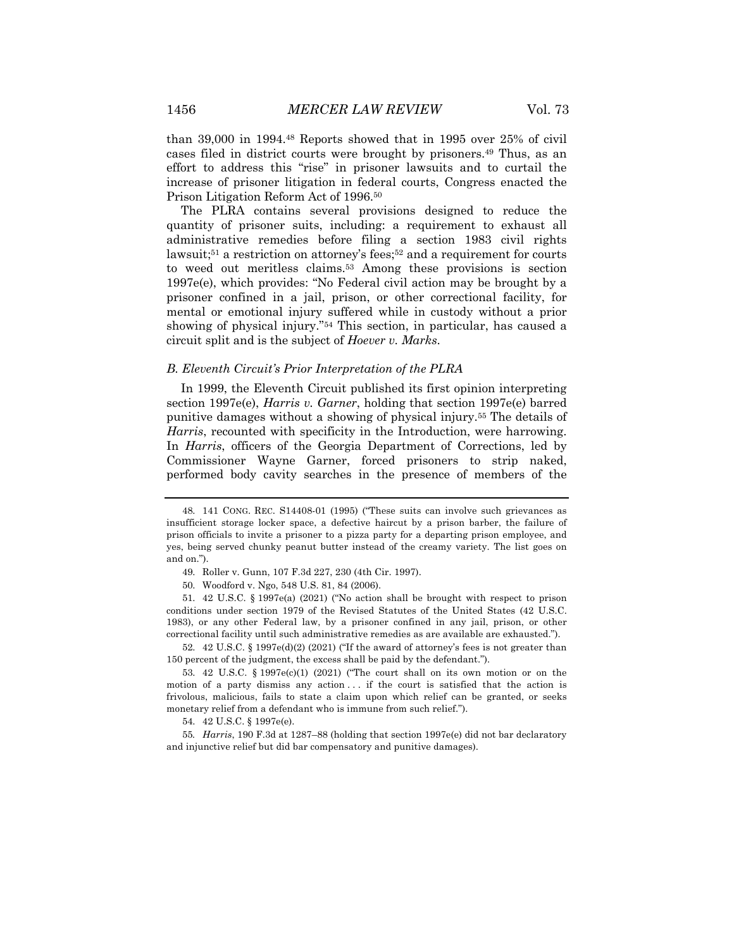than 39,000 in 1994.48 Reports showed that in 1995 over 25% of civil cases filed in district courts were brought by prisoners.49 Thus, as an effort to address this "rise" in prisoner lawsuits and to curtail the increase of prisoner litigation in federal courts, Congress enacted the Prison Litigation Reform Act of 1996.50

The PLRA contains several provisions designed to reduce the quantity of prisoner suits, including: a requirement to exhaust all administrative remedies before filing a section 1983 civil rights lawsuit;<sup>51</sup> a restriction on attorney's fees;<sup>52</sup> and a requirement for courts to weed out meritless claims.53 Among these provisions is section 1997e(e), which provides: "No Federal civil action may be brought by a prisoner confined in a jail, prison, or other correctional facility, for mental or emotional injury suffered while in custody without a prior showing of physical injury."54 This section, in particular, has caused a circuit split and is the subject of *Hoever v. Marks*.

### *B. Eleventh Circuit's Prior Interpretation of the PLRA*

In 1999, the Eleventh Circuit published its first opinion interpreting section 1997e(e), *Harris v. Garner*, holding that section 1997e(e) barred punitive damages without a showing of physical injury.55 The details of *Harris*, recounted with specificity in the Introduction, were harrowing. In *Harris*, officers of the Georgia Department of Corrections, led by Commissioner Wayne Garner, forced prisoners to strip naked, performed body cavity searches in the presence of members of the

52. 42 U.S.C. § 1997e(d)(2) (2021) ("If the award of attorney's fees is not greater than 150 percent of the judgment, the excess shall be paid by the defendant.").

55*. Harris*, 190 F.3d at 1287–88 (holding that section 1997e(e) did not bar declaratory and injunctive relief but did bar compensatory and punitive damages).

<sup>48.</sup> 141 CONG. REC. S14408-01 (1995) ("These suits can involve such grievances as insufficient storage locker space, a defective haircut by a prison barber, the failure of prison officials to invite a prisoner to a pizza party for a departing prison employee, and yes, being served chunky peanut butter instead of the creamy variety. The list goes on and on.").

<sup>49.</sup> Roller v. Gunn, 107 F.3d 227, 230 (4th Cir. 1997).

<sup>50.</sup> Woodford v. Ngo, 548 U.S. 81, 84 (2006).

<sup>51.</sup> 42 U.S.C. § 1997e(a) (2021) ("No action shall be brought with respect to prison conditions under section 1979 of the Revised Statutes of the United States (42 U.S.C. 1983), or any other Federal law, by a prisoner confined in any jail, prison, or other correctional facility until such administrative remedies as are available are exhausted.").

<sup>53.</sup> 42 U.S.C. § 1997e(c)(1) (2021) ("The court shall on its own motion or on the motion of a party dismiss any action . . . if the court is satisfied that the action is frivolous, malicious, fails to state a claim upon which relief can be granted, or seeks monetary relief from a defendant who is immune from such relief.").

<sup>54.</sup> 42 U.S.C. § 1997e(e).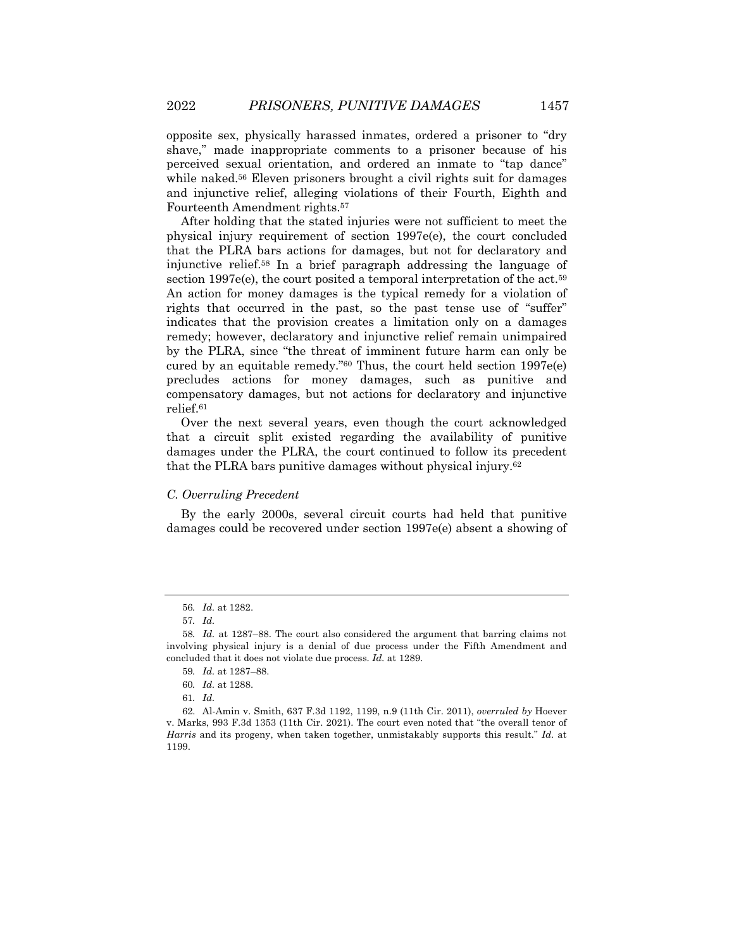opposite sex, physically harassed inmates, ordered a prisoner to "dry shave," made inappropriate comments to a prisoner because of his perceived sexual orientation, and ordered an inmate to "tap dance" while naked.<sup>56</sup> Eleven prisoners brought a civil rights suit for damages and injunctive relief, alleging violations of their Fourth, Eighth and Fourteenth Amendment rights.57

After holding that the stated injuries were not sufficient to meet the physical injury requirement of section 1997e(e), the court concluded that the PLRA bars actions for damages, but not for declaratory and injunctive relief.58 In a brief paragraph addressing the language of section 1997e(e), the court posited a temporal interpretation of the act.<sup>59</sup> An action for money damages is the typical remedy for a violation of rights that occurred in the past, so the past tense use of "suffer" indicates that the provision creates a limitation only on a damages remedy; however, declaratory and injunctive relief remain unimpaired by the PLRA, since "the threat of imminent future harm can only be cured by an equitable remedy."60 Thus, the court held section 1997e(e) precludes actions for money damages, such as punitive and compensatory damages, but not actions for declaratory and injunctive relief.61

Over the next several years, even though the court acknowledged that a circuit split existed regarding the availability of punitive damages under the PLRA, the court continued to follow its precedent that the PLRA bars punitive damages without physical injury.62

# *C. Overruling Precedent*

By the early 2000s, several circuit courts had held that punitive damages could be recovered under section 1997e(e) absent a showing of

<sup>56</sup>*. Id.* at 1282.

<sup>57</sup>*. Id.*

<sup>58</sup>*. Id.* at 1287–88. The court also considered the argument that barring claims not involving physical injury is a denial of due process under the Fifth Amendment and concluded that it does not violate due process. *Id.* at 1289.

<sup>59</sup>*. Id.* at 1287–88.

<sup>60</sup>*. Id.* at 1288.

<sup>61</sup>*. Id.*

<sup>62.</sup> Al-Amin v. Smith, 637 F.3d 1192, 1199, n.9 (11th Cir. 2011), *overruled by* Hoever v. Marks, 993 F.3d 1353 (11th Cir. 2021). The court even noted that "the overall tenor of *Harris* and its progeny, when taken together, unmistakably supports this result." *Id.* at 1199.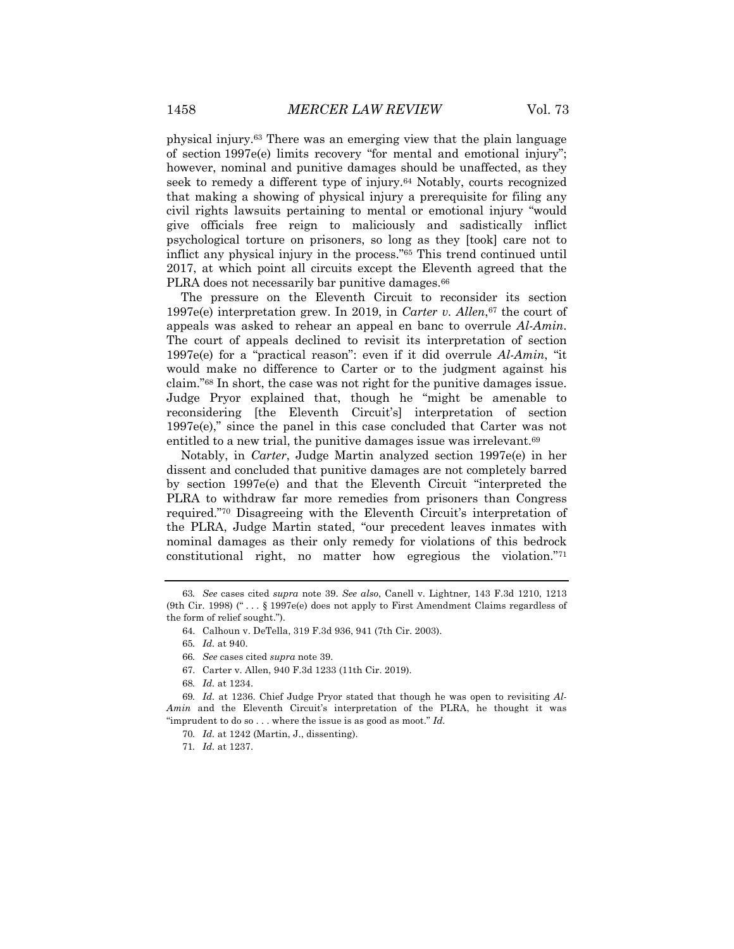physical injury.63 There was an emerging view that the plain language of section 1997e(e) limits recovery "for mental and emotional injury"; however, nominal and punitive damages should be unaffected, as they seek to remedy a different type of injury.<sup>64</sup> Notably, courts recognized that making a showing of physical injury a prerequisite for filing any civil rights lawsuits pertaining to mental or emotional injury "would give officials free reign to maliciously and sadistically inflict psychological torture on prisoners, so long as they [took] care not to inflict any physical injury in the process."65 This trend continued until 2017, at which point all circuits except the Eleventh agreed that the PLRA does not necessarily bar punitive damages.<sup>66</sup>

The pressure on the Eleventh Circuit to reconsider its section 1997e(e) interpretation grew. In 2019, in *Carter v. Allen*,67 the court of appeals was asked to rehear an appeal en banc to overrule *Al-Amin*. The court of appeals declined to revisit its interpretation of section 1997e(e) for a "practical reason": even if it did overrule *Al-Amin*, "it would make no difference to Carter or to the judgment against his claim."68 In short, the case was not right for the punitive damages issue. Judge Pryor explained that, though he "might be amenable to reconsidering [the Eleventh Circuit's] interpretation of section 1997e(e)," since the panel in this case concluded that Carter was not entitled to a new trial, the punitive damages issue was irrelevant.<sup>69</sup>

Notably, in *Carter*, Judge Martin analyzed section 1997e(e) in her dissent and concluded that punitive damages are not completely barred by section 1997e(e) and that the Eleventh Circuit "interpreted the PLRA to withdraw far more remedies from prisoners than Congress required."70 Disagreeing with the Eleventh Circuit's interpretation of the PLRA, Judge Martin stated, "our precedent leaves inmates with nominal damages as their only remedy for violations of this bedrock constitutional right, no matter how egregious the violation."71

67. Carter v. Allen, 940 F.3d 1233 (11th Cir. 2019).

<sup>63</sup>*. See* cases cited *supra* note 39. *See also*, Canell v. Lightner*,* 143 F.3d 1210, 1213 (9th Cir. 1998) (" . . . § 1997e(e) does not apply to First Amendment Claims regardless of the form of relief sought.").

<sup>64.</sup> Calhoun v. DeTella, 319 F.3d 936, 941 (7th Cir. 2003).

<sup>65</sup>*. Id.* at 940.

<sup>66</sup>*. See* cases cited *supra* note 39.

<sup>68</sup>*. Id.* at 1234.

<sup>69</sup>*. Id.* at 1236. Chief Judge Pryor stated that though he was open to revisiting *Al-Amin* and the Eleventh Circuit's interpretation of the PLRA, he thought it was "imprudent to do so . . . where the issue is as good as moot." *Id.*

<sup>70</sup>*. Id.* at 1242 (Martin, J., dissenting).

<sup>71</sup>*. Id.* at 1237.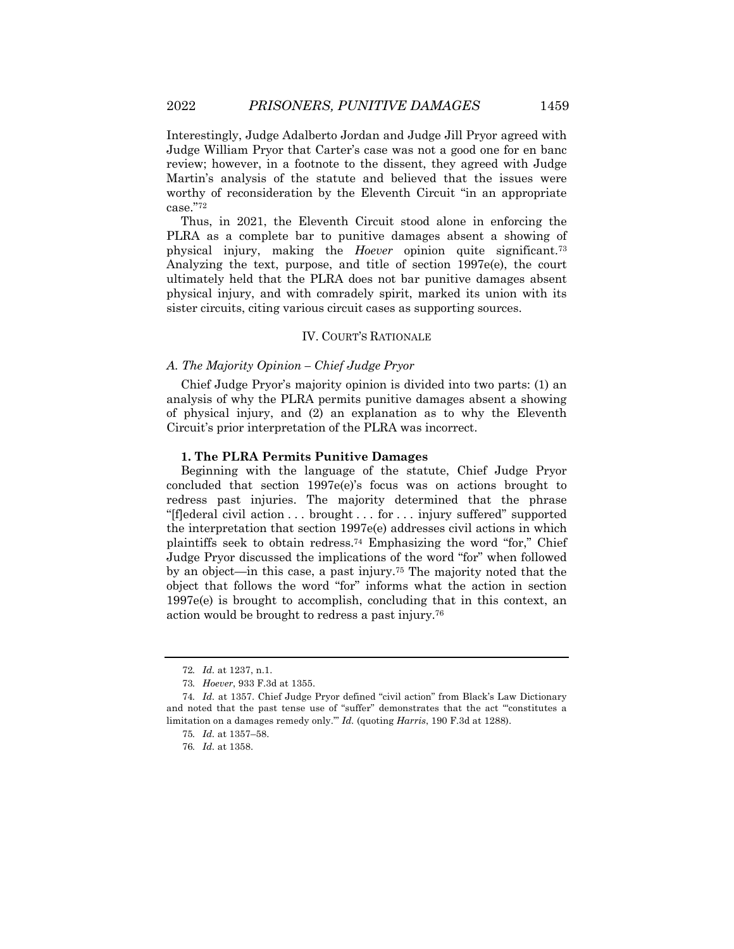Interestingly, Judge Adalberto Jordan and Judge Jill Pryor agreed with Judge William Pryor that Carter's case was not a good one for en banc review; however, in a footnote to the dissent, they agreed with Judge Martin's analysis of the statute and believed that the issues were worthy of reconsideration by the Eleventh Circuit "in an appropriate case."72

Thus, in 2021, the Eleventh Circuit stood alone in enforcing the PLRA as a complete bar to punitive damages absent a showing of physical injury, making the *Hoever* opinion quite significant.73 Analyzing the text, purpose, and title of section 1997e(e), the court ultimately held that the PLRA does not bar punitive damages absent physical injury, and with comradely spirit, marked its union with its sister circuits, citing various circuit cases as supporting sources.

# IV. COURT'S RATIONALE

# *A. The Majority Opinion – Chief Judge Pryor*

Chief Judge Pryor's majority opinion is divided into two parts: (1) an analysis of why the PLRA permits punitive damages absent a showing of physical injury, and (2) an explanation as to why the Eleventh Circuit's prior interpretation of the PLRA was incorrect.

# **1. The PLRA Permits Punitive Damages**

Beginning with the language of the statute, Chief Judge Pryor concluded that section 1997e(e)'s focus was on actions brought to redress past injuries. The majority determined that the phrase "[f]ederal civil action . . . brought . . . for . . . injury suffered" supported the interpretation that section 1997e(e) addresses civil actions in which plaintiffs seek to obtain redress.74 Emphasizing the word "for," Chief Judge Pryor discussed the implications of the word "for" when followed by an object—in this case, a past injury.75 The majority noted that the object that follows the word "for" informs what the action in section 1997e(e) is brought to accomplish, concluding that in this context, an action would be brought to redress a past injury.76

<sup>72</sup>*. Id.* at 1237, n.1.

<sup>73</sup>*. Hoever*, 933 F.3d at 1355.

<sup>74</sup>*. Id.* at 1357. Chief Judge Pryor defined "civil action" from Black's Law Dictionary and noted that the past tense use of "suffer" demonstrates that the act "'constitutes a limitation on a damages remedy only.'" *Id.* (quoting *Harris*, 190 F.3d at 1288).

<sup>75</sup>*. Id.* at 1357–58.

<sup>76</sup>*. Id.* at 1358.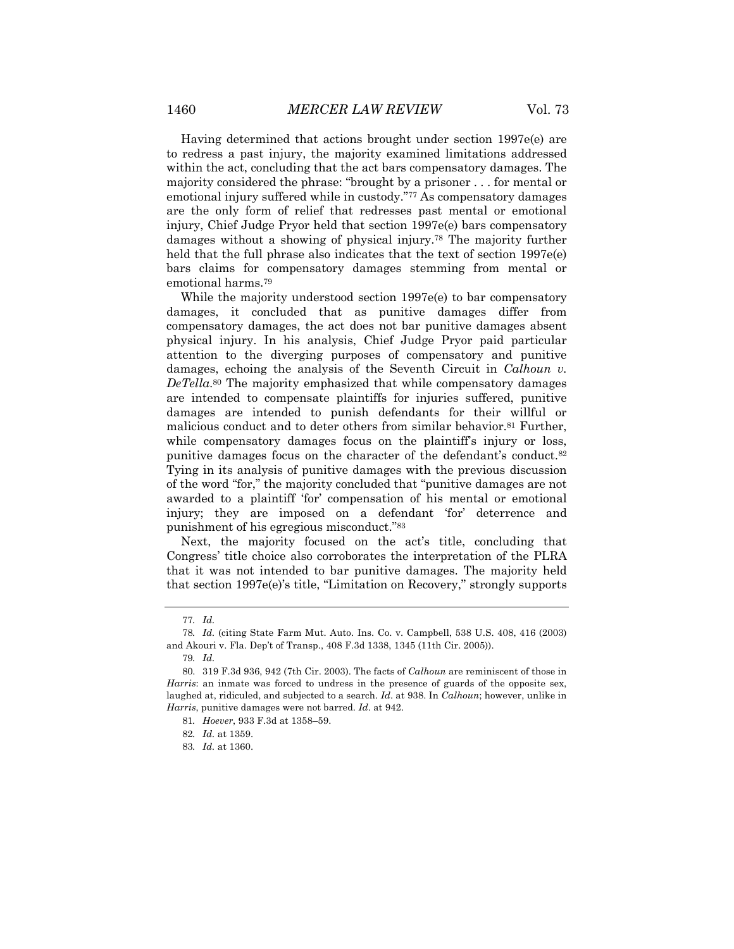Having determined that actions brought under section 1997e(e) are to redress a past injury, the majority examined limitations addressed within the act, concluding that the act bars compensatory damages. The majority considered the phrase: "brought by a prisoner . . . for mental or emotional injury suffered while in custody."77 As compensatory damages are the only form of relief that redresses past mental or emotional injury, Chief Judge Pryor held that section 1997e(e) bars compensatory damages without a showing of physical injury.78 The majority further held that the full phrase also indicates that the text of section 1997e(e) bars claims for compensatory damages stemming from mental or emotional harms.79

While the majority understood section 1997e(e) to bar compensatory damages, it concluded that as punitive damages differ from compensatory damages, the act does not bar punitive damages absent physical injury. In his analysis, Chief Judge Pryor paid particular attention to the diverging purposes of compensatory and punitive damages, echoing the analysis of the Seventh Circuit in *Calhoun v. DeTella*.80 The majority emphasized that while compensatory damages are intended to compensate plaintiffs for injuries suffered, punitive damages are intended to punish defendants for their willful or malicious conduct and to deter others from similar behavior.81 Further, while compensatory damages focus on the plaintiff's injury or loss, punitive damages focus on the character of the defendant's conduct.82 Tying in its analysis of punitive damages with the previous discussion of the word "for," the majority concluded that "punitive damages are not awarded to a plaintiff 'for' compensation of his mental or emotional injury; they are imposed on a defendant 'for' deterrence and punishment of his egregious misconduct."83

Next, the majority focused on the act's title, concluding that Congress' title choice also corroborates the interpretation of the PLRA that it was not intended to bar punitive damages. The majority held that section 1997e(e)'s title, "Limitation on Recovery," strongly supports

<sup>77</sup>*. Id.*

<sup>78</sup>*. Id.* (citing State Farm Mut. Auto. Ins. Co. v. Campbell, 538 U.S. 408, 416 (2003) and Akouri v. Fla. Dep't of Transp., 408 F.3d 1338, 1345 (11th Cir. 2005)).

<sup>79</sup>*. Id.*

<sup>80.</sup> 319 F.3d 936, 942 (7th Cir. 2003). The facts of *Calhoun* are reminiscent of those in *Harris*: an inmate was forced to undress in the presence of guards of the opposite sex, laughed at, ridiculed, and subjected to a search. *Id*. at 938. In *Calhoun*; however, unlike in *Harris*, punitive damages were not barred. *Id*. at 942.

<sup>81</sup>*. Hoever*, 933 F.3d at 1358–59.

<sup>82</sup>*. Id.* at 1359.

<sup>83</sup>*. Id.* at 1360.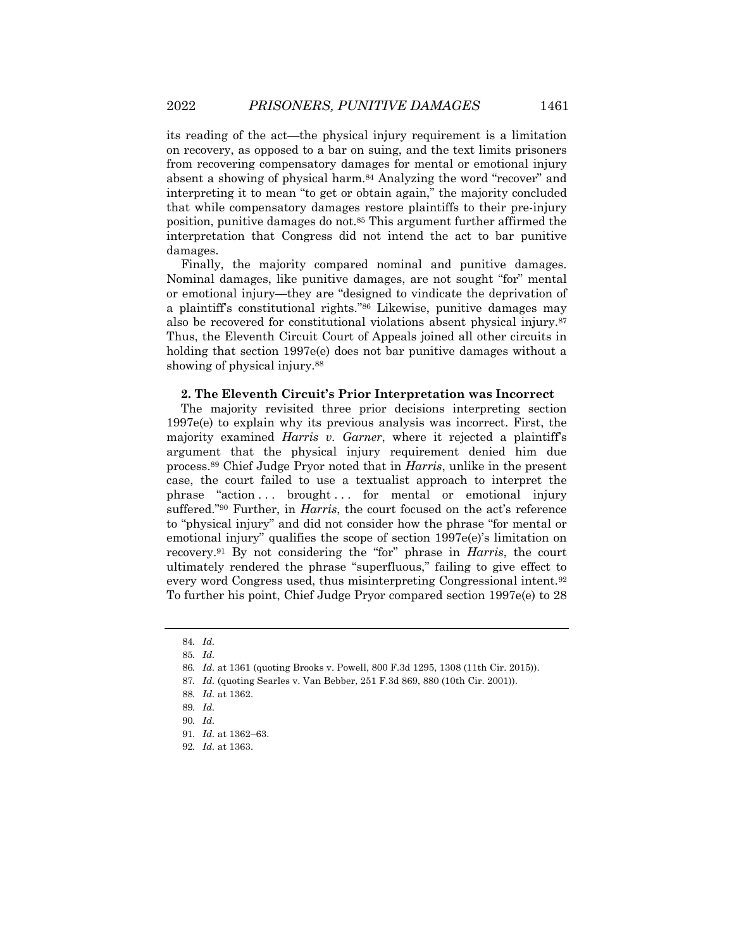its reading of the act—the physical injury requirement is a limitation on recovery, as opposed to a bar on suing, and the text limits prisoners from recovering compensatory damages for mental or emotional injury absent a showing of physical harm.84 Analyzing the word "recover" and interpreting it to mean "to get or obtain again," the majority concluded that while compensatory damages restore plaintiffs to their pre-injury position, punitive damages do not.85 This argument further affirmed the interpretation that Congress did not intend the act to bar punitive damages.

Finally, the majority compared nominal and punitive damages. Nominal damages, like punitive damages, are not sought "for" mental or emotional injury—they are "designed to vindicate the deprivation of a plaintiff's constitutional rights."86 Likewise, punitive damages may also be recovered for constitutional violations absent physical injury.87 Thus, the Eleventh Circuit Court of Appeals joined all other circuits in holding that section 1997e(e) does not bar punitive damages without a showing of physical injury.<sup>88</sup>

# **2. The Eleventh Circuit's Prior Interpretation was Incorrect**

The majority revisited three prior decisions interpreting section 1997e(e) to explain why its previous analysis was incorrect. First, the majority examined *Harris v. Garner*, where it rejected a plaintiff's argument that the physical injury requirement denied him due process.89 Chief Judge Pryor noted that in *Harris*, unlike in the present case, the court failed to use a textualist approach to interpret the phrase "action ... brought ... for mental or emotional injury suffered."90 Further, in *Harris*, the court focused on the act's reference to "physical injury" and did not consider how the phrase "for mental or emotional injury" qualifies the scope of section 1997e(e)'s limitation on recovery.91 By not considering the "for" phrase in *Harris*, the court ultimately rendered the phrase "superfluous," failing to give effect to every word Congress used, thus misinterpreting Congressional intent.92 To further his point, Chief Judge Pryor compared section 1997e(e) to 28

<sup>84</sup>*. Id.*

<sup>85</sup>*. Id.*

<sup>86</sup>*. Id.* at 1361 (quoting Brooks v. Powell, 800 F.3d 1295, 1308 (11th Cir. 2015)).

<sup>87</sup>*. Id.* (quoting Searles v. Van Bebber, 251 F.3d 869, 880 (10th Cir. 2001)).

<sup>88</sup>*. Id.* at 1362.

<sup>89</sup>*. Id.*

<sup>90</sup>*. Id.*

<sup>91</sup>*. Id.* at 1362–63.

<sup>92</sup>*. Id.* at 1363.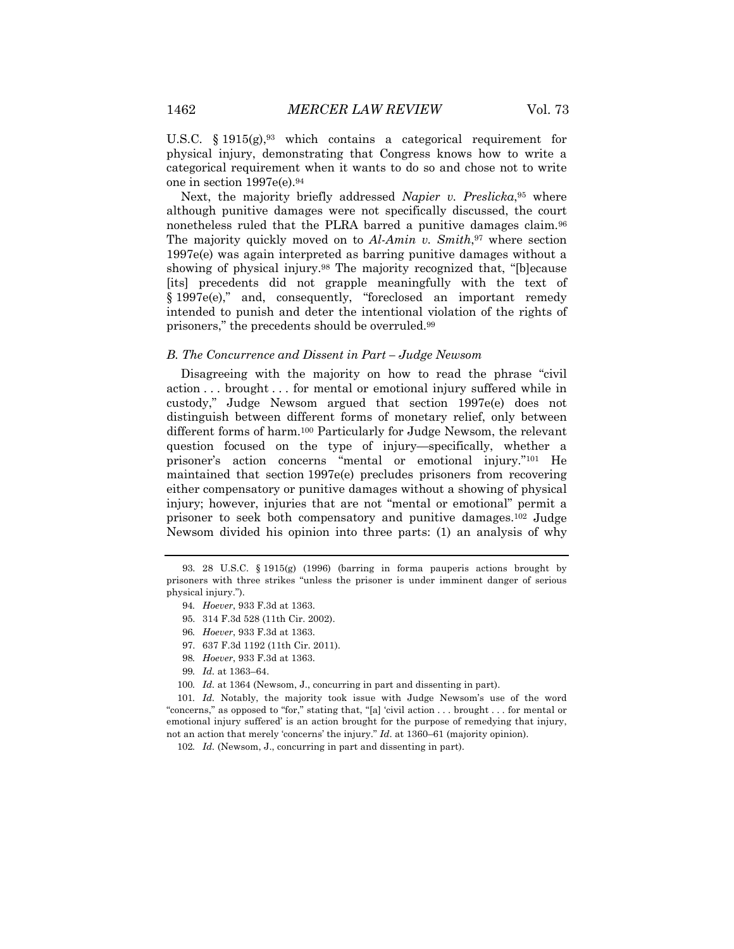U.S.C.  $\S 1915(g)$ , which contains a categorical requirement for physical injury, demonstrating that Congress knows how to write a categorical requirement when it wants to do so and chose not to write one in section 1997e(e).94

Next, the majority briefly addressed *Napier v. Preslicka*,<sup>95</sup> where although punitive damages were not specifically discussed, the court nonetheless ruled that the PLRA barred a punitive damages claim.<sup>96</sup> The majority quickly moved on to *Al-Amin v. Smith*,97 where section 1997e(e) was again interpreted as barring punitive damages without a showing of physical injury.<sup>98</sup> The majority recognized that, "[b]ecause [its] precedents did not grapple meaningfully with the text of § 1997e(e)," and, consequently, "foreclosed an important remedy intended to punish and deter the intentional violation of the rights of prisoners," the precedents should be overruled.99

# *B. The Concurrence and Dissent in Part – Judge Newsom*

Disagreeing with the majority on how to read the phrase "civil action . . . brought . . . for mental or emotional injury suffered while in custody," Judge Newsom argued that section 1997e(e) does not distinguish between different forms of monetary relief, only between different forms of harm.100 Particularly for Judge Newsom, the relevant question focused on the type of injury—specifically, whether a prisoner's action concerns "mental or emotional injury."101 He maintained that section 1997e(e) precludes prisoners from recovering either compensatory or punitive damages without a showing of physical injury; however, injuries that are not "mental or emotional" permit a prisoner to seek both compensatory and punitive damages.102 Judge Newsom divided his opinion into three parts: (1) an analysis of why

- 98*. Hoever*, 933 F.3d at 1363.
- 99*. Id.* at 1363–64.
- 100*. Id.* at 1364 (Newsom, J., concurring in part and dissenting in part).

101*. Id.* Notably, the majority took issue with Judge Newsom's use of the word "concerns," as opposed to "for," stating that, "[a] 'civil action . . . brought . . . for mental or emotional injury suffered' is an action brought for the purpose of remedying that injury, not an action that merely 'concerns' the injury." *Id*. at 1360–61 (majority opinion).

<sup>93.</sup> 28 U.S.C. § 1915(g) (1996) (barring in forma pauperis actions brought by prisoners with three strikes "unless the prisoner is under imminent danger of serious physical injury.").

<sup>94</sup>*. Hoever*, 933 F.3d at 1363.

<sup>95.</sup> 314 F.3d 528 (11th Cir. 2002).

<sup>96</sup>*. Hoever*, 933 F.3d at 1363.

<sup>97.</sup> 637 F.3d 1192 (11th Cir. 2011).

<sup>102</sup>*. Id.* (Newsom, J., concurring in part and dissenting in part).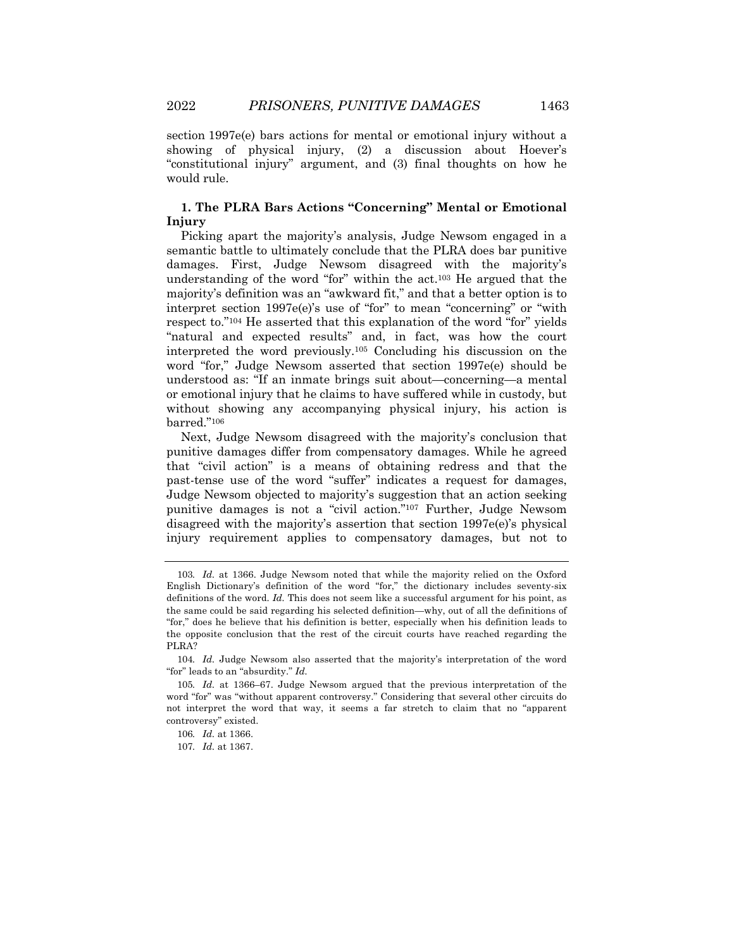section 1997e(e) bars actions for mental or emotional injury without a showing of physical injury, (2) a discussion about Hoever's "constitutional injury" argument, and (3) final thoughts on how he would rule.

# **1. The PLRA Bars Actions "Concerning" Mental or Emotional Injury**

Picking apart the majority's analysis, Judge Newsom engaged in a semantic battle to ultimately conclude that the PLRA does bar punitive damages. First, Judge Newsom disagreed with the majority's understanding of the word "for" within the act.103 He argued that the majority's definition was an "awkward fit," and that a better option is to interpret section 1997e(e)'s use of "for" to mean "concerning" or "with respect to."104 He asserted that this explanation of the word "for" yields "natural and expected results" and, in fact, was how the court interpreted the word previously.105 Concluding his discussion on the word "for," Judge Newsom asserted that section 1997e(e) should be understood as: "If an inmate brings suit about—concerning—a mental or emotional injury that he claims to have suffered while in custody, but without showing any accompanying physical injury, his action is barred."106

Next, Judge Newsom disagreed with the majority's conclusion that punitive damages differ from compensatory damages. While he agreed that "civil action" is a means of obtaining redress and that the past-tense use of the word "suffer" indicates a request for damages, Judge Newsom objected to majority's suggestion that an action seeking punitive damages is not a "civil action."107 Further, Judge Newsom disagreed with the majority's assertion that section 1997e(e)'s physical injury requirement applies to compensatory damages, but not to

<sup>103</sup>*. Id.* at 1366. Judge Newsom noted that while the majority relied on the Oxford English Dictionary's definition of the word "for," the dictionary includes seventy-six definitions of the word. *Id.* This does not seem like a successful argument for his point, as the same could be said regarding his selected definition—why, out of all the definitions of "for," does he believe that his definition is better, especially when his definition leads to the opposite conclusion that the rest of the circuit courts have reached regarding the PLRA?

<sup>104</sup>*. Id.* Judge Newsom also asserted that the majority's interpretation of the word "for" leads to an "absurdity." *Id.*

<sup>105</sup>*. Id.* at 1366–67. Judge Newsom argued that the previous interpretation of the word "for" was "without apparent controversy." Considering that several other circuits do not interpret the word that way, it seems a far stretch to claim that no "apparent controversy" existed.

<sup>106</sup>*. Id.* at 1366.

<sup>107</sup>*. Id.* at 1367.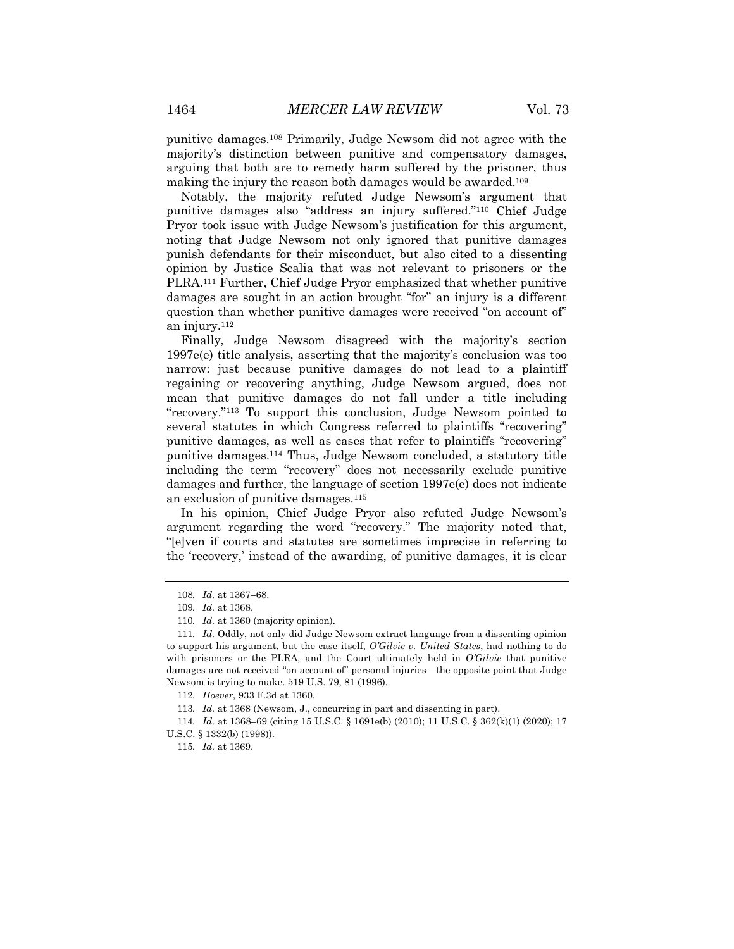punitive damages.108 Primarily, Judge Newsom did not agree with the majority's distinction between punitive and compensatory damages, arguing that both are to remedy harm suffered by the prisoner, thus making the injury the reason both damages would be awarded.109

Notably, the majority refuted Judge Newsom's argument that punitive damages also "address an injury suffered."110 Chief Judge Pryor took issue with Judge Newsom's justification for this argument, noting that Judge Newsom not only ignored that punitive damages punish defendants for their misconduct, but also cited to a dissenting opinion by Justice Scalia that was not relevant to prisoners or the PLRA.111 Further, Chief Judge Pryor emphasized that whether punitive damages are sought in an action brought "for" an injury is a different question than whether punitive damages were received "on account of" an injury.112

Finally, Judge Newsom disagreed with the majority's section 1997e(e) title analysis, asserting that the majority's conclusion was too narrow: just because punitive damages do not lead to a plaintiff regaining or recovering anything, Judge Newsom argued, does not mean that punitive damages do not fall under a title including "recovery."113 To support this conclusion, Judge Newsom pointed to several statutes in which Congress referred to plaintiffs "recovering" punitive damages, as well as cases that refer to plaintiffs "recovering" punitive damages.114 Thus, Judge Newsom concluded, a statutory title including the term "recovery" does not necessarily exclude punitive damages and further, the language of section 1997e(e) does not indicate an exclusion of punitive damages.115

In his opinion, Chief Judge Pryor also refuted Judge Newsom's argument regarding the word "recovery." The majority noted that, "[e]ven if courts and statutes are sometimes imprecise in referring to the 'recovery,' instead of the awarding, of punitive damages, it is clear

<sup>108</sup>*. Id.* at 1367–68.

<sup>109</sup>*. Id.* at 1368.

<sup>110</sup>*. Id.* at 1360 (majority opinion).

<sup>111</sup>*. Id.* Oddly, not only did Judge Newsom extract language from a dissenting opinion to support his argument, but the case itself, *O'Gilvie v. United States*, had nothing to do with prisoners or the PLRA, and the Court ultimately held in *O'Gilvie* that punitive damages are not received "on account of" personal injuries—the opposite point that Judge Newsom is trying to make. 519 U.S. 79, 81 (1996).

<sup>112</sup>*. Hoever*, 933 F.3d at 1360.

<sup>113</sup>*. Id.* at 1368 (Newsom, J., concurring in part and dissenting in part).

<sup>114</sup>*. Id.* at 1368–69 (citing 15 U.S.C. § 1691e(b) (2010); 11 U.S.C. § 362(k)(1) (2020); 17 U.S.C. § 1332(b) (1998)).

<sup>115</sup>*. Id.* at 1369.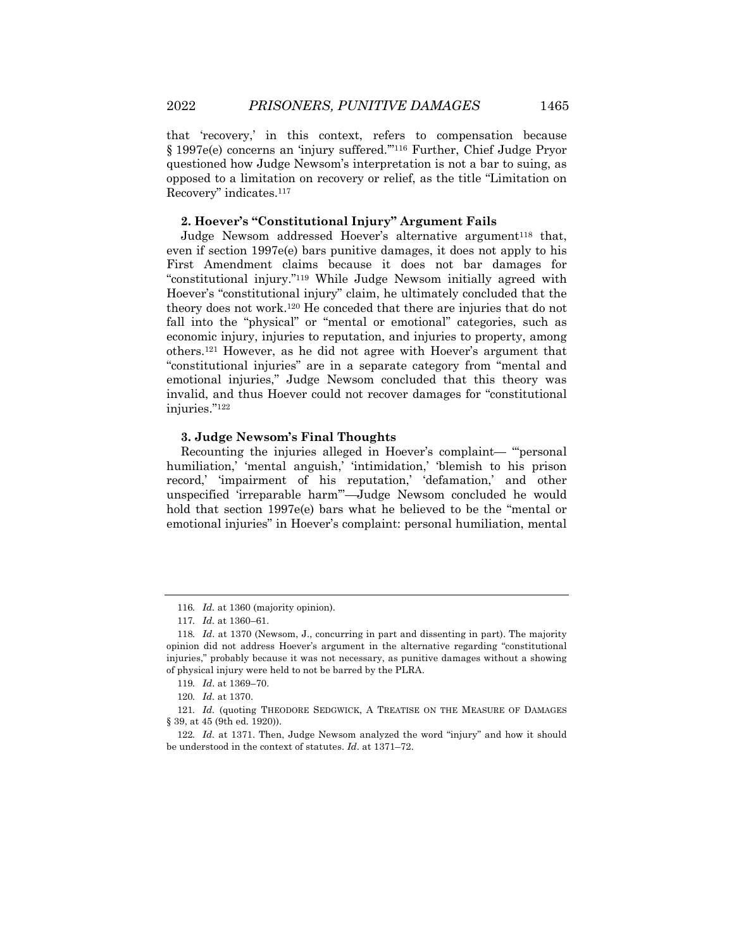that 'recovery,' in this context, refers to compensation because § 1997e(e) concerns an 'injury suffered.'"116 Further, Chief Judge Pryor questioned how Judge Newsom's interpretation is not a bar to suing, as opposed to a limitation on recovery or relief, as the title "Limitation on Recovery" indicates.117

### **2. Hoever's "Constitutional Injury" Argument Fails**

Judge Newsom addressed Hoever's alternative argument<sup>118</sup> that, even if section 1997e(e) bars punitive damages, it does not apply to his First Amendment claims because it does not bar damages for "constitutional injury."119 While Judge Newsom initially agreed with Hoever's "constitutional injury" claim, he ultimately concluded that the theory does not work.120 He conceded that there are injuries that do not fall into the "physical" or "mental or emotional" categories, such as economic injury, injuries to reputation, and injuries to property, among others.121 However, as he did not agree with Hoever's argument that "constitutional injuries" are in a separate category from "mental and emotional injuries," Judge Newsom concluded that this theory was invalid, and thus Hoever could not recover damages for "constitutional injuries."122

# **3. Judge Newsom's Final Thoughts**

Recounting the injuries alleged in Hoever's complaint— "'personal humiliation,' 'mental anguish,' 'intimidation,' 'blemish to his prison record,' 'impairment of his reputation,' 'defamation,' and other unspecified 'irreparable harm'"—Judge Newsom concluded he would hold that section 1997e(e) bars what he believed to be the "mental or emotional injuries" in Hoever's complaint: personal humiliation, mental

<sup>116</sup>*. Id.* at 1360 (majority opinion).

<sup>117</sup>*. Id.* at 1360–61.

<sup>118</sup>*. Id*. at 1370 (Newsom, J., concurring in part and dissenting in part). The majority opinion did not address Hoever's argument in the alternative regarding "constitutional injuries," probably because it was not necessary, as punitive damages without a showing of physical injury were held to not be barred by the PLRA.

<sup>119</sup>*. Id*. at 1369–70.

<sup>120</sup>*. Id.* at 1370.

<sup>121</sup>*. Id.* (quoting THEODORE SEDGWICK, A TREATISE ON THE MEASURE OF DAMAGES § 39, at 45 (9th ed. 1920)).

<sup>122</sup>*. Id.* at 1371. Then, Judge Newsom analyzed the word "injury" and how it should be understood in the context of statutes. *Id*. at 1371–72.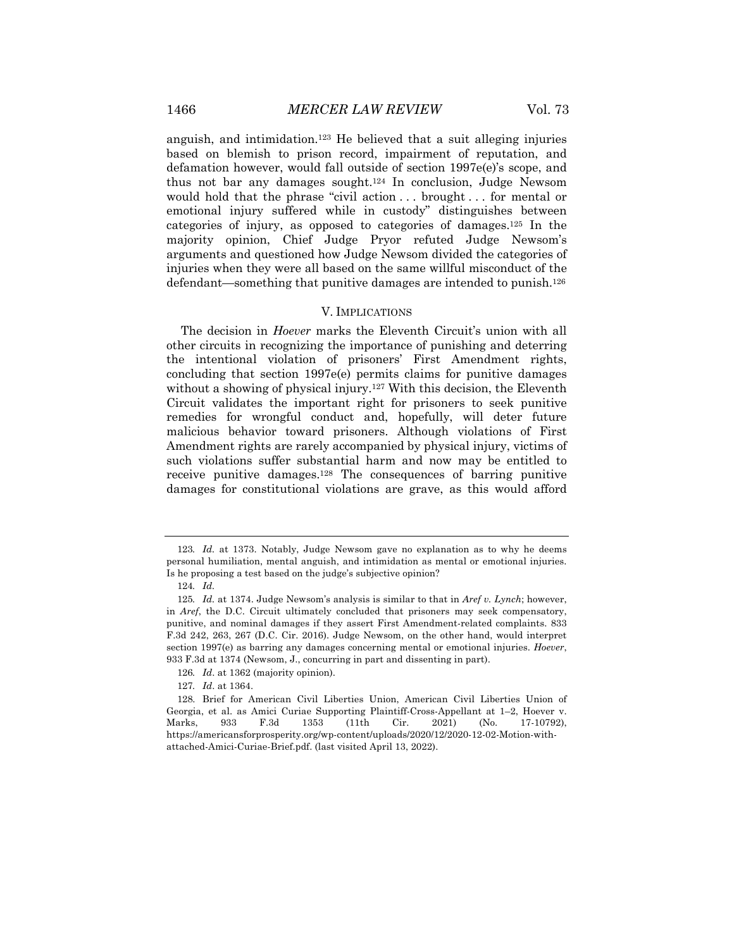anguish, and intimidation.123 He believed that a suit alleging injuries based on blemish to prison record, impairment of reputation, and defamation however, would fall outside of section 1997e(e)'s scope, and thus not bar any damages sought.124 In conclusion, Judge Newsom would hold that the phrase "civil action . . . brought . . . for mental or emotional injury suffered while in custody" distinguishes between categories of injury, as opposed to categories of damages.125 In the majority opinion, Chief Judge Pryor refuted Judge Newsom's arguments and questioned how Judge Newsom divided the categories of injuries when they were all based on the same willful misconduct of the defendant—something that punitive damages are intended to punish.126

# V. IMPLICATIONS

The decision in *Hoever* marks the Eleventh Circuit's union with all other circuits in recognizing the importance of punishing and deterring the intentional violation of prisoners' First Amendment rights, concluding that section 1997e(e) permits claims for punitive damages without a showing of physical injury.<sup>127</sup> With this decision, the Eleventh Circuit validates the important right for prisoners to seek punitive remedies for wrongful conduct and, hopefully, will deter future malicious behavior toward prisoners. Although violations of First Amendment rights are rarely accompanied by physical injury, victims of such violations suffer substantial harm and now may be entitled to receive punitive damages.128 The consequences of barring punitive damages for constitutional violations are grave, as this would afford

<sup>123</sup>*. Id.* at 1373. Notably, Judge Newsom gave no explanation as to why he deems personal humiliation, mental anguish, and intimidation as mental or emotional injuries. Is he proposing a test based on the judge's subjective opinion?

<sup>124</sup>*. Id.*

<sup>125</sup>*. Id.* at 1374. Judge Newsom's analysis is similar to that in *Aref v. Lynch*; however, in *Aref*, the D.C. Circuit ultimately concluded that prisoners may seek compensatory, punitive, and nominal damages if they assert First Amendment-related complaints. 833 F.3d 242, 263, 267 (D.C. Cir. 2016). Judge Newsom, on the other hand, would interpret section 1997(e) as barring any damages concerning mental or emotional injuries. *Hoever*, 933 F.3d at 1374 (Newsom, J., concurring in part and dissenting in part).

<sup>126</sup>*. Id*. at 1362 (majority opinion).

<sup>127</sup>*. Id*. at 1364.

<sup>128.</sup> Brief for American Civil Liberties Union, American Civil Liberties Union of Georgia, et al. as Amici Curiae Supporting Plaintiff-Cross-Appellant at 1–2, Hoever v. Marks, 933 F.3d 1353 (11th Cir. 2021) (No. 17-10792), https://americansforprosperity.org/wp-content/uploads/2020/12/2020-12-02-Motion-withattached-Amici-Curiae-Brief.pdf. (last visited April 13, 2022).